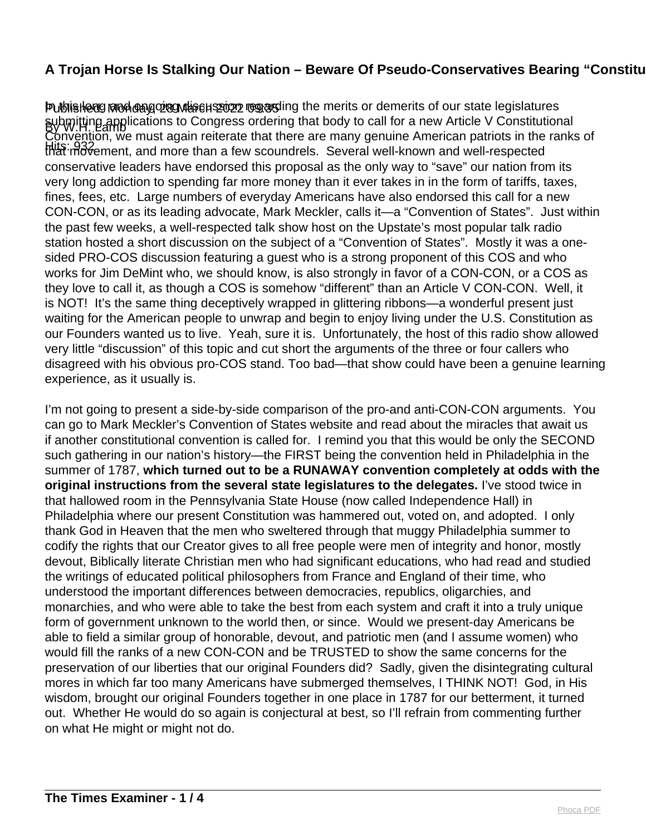## **A Trojan Horse Is Stalking Our Nation – Beware Of Pseudo-Conservatives Bearing "Constitutional" A Troian Panaceas 2011**

Publishedg Mon dang on this cantes and the merits or demerits of our state legislatures By W.H. Lamb submitting applications to Congress ordering that body to call for a new Article V Constitutional Hits: 932<br>that movement, and more than a few scoundrels. Several well-known and well-respected Convention, we must again reiterate that there are many genuine American patriots in the ranks of conservative leaders have endorsed this proposal as the only way to "save" our nation from its very long addiction to spending far more money than it ever takes in in the form of tariffs, taxes, fines, fees, etc. Large numbers of everyday Americans have also endorsed this call for a new CON-CON, or as its leading advocate, Mark Meckler, calls it—a "Convention of States". Just within the past few weeks, a well-respected talk show host on the Upstate's most popular talk radio station hosted a short discussion on the subject of a "Convention of States". Mostly it was a onesided PRO-COS discussion featuring a guest who is a strong proponent of this COS and who works for Jim DeMint who, we should know, is also strongly in favor of a CON-CON, or a COS as they love to call it, as though a COS is somehow "different" than an Article V CON-CON. Well, it is NOT! It's the same thing deceptively wrapped in glittering ribbons—a wonderful present just waiting for the American people to unwrap and begin to enjoy living under the U.S. Constitution as our Founders wanted us to live. Yeah, sure it is. Unfortunately, the host of this radio show allowed very little "discussion" of this topic and cut short the arguments of the three or four callers who disagreed with his obvious pro-COS stand. Too bad—that show could have been a genuine learning experience, as it usually is.

I'm not going to present a side-by-side comparison of the pro-and anti-CON-CON arguments. You can go to Mark Meckler's Convention of States website and read about the miracles that await us if another constitutional convention is called for. I remind you that this would be only the SECOND such gathering in our nation's history—the FIRST being the convention held in Philadelphia in the summer of 1787, **which turned out to be a RUNAWAY convention completely at odds with the original instructions from the several state legislatures to the delegates.** I've stood twice in that hallowed room in the Pennsylvania State House (now called Independence Hall) in Philadelphia where our present Constitution was hammered out, voted on, and adopted. I only thank God in Heaven that the men who sweltered through that muggy Philadelphia summer to codify the rights that our Creator gives to all free people were men of integrity and honor, mostly devout, Biblically literate Christian men who had significant educations, who had read and studied the writings of educated political philosophers from France and England of their time, who understood the important differences between democracies, republics, oligarchies, and monarchies, and who were able to take the best from each system and craft it into a truly unique form of government unknown to the world then, or since. Would we present-day Americans be able to field a similar group of honorable, devout, and patriotic men (and I assume women) who would fill the ranks of a new CON-CON and be TRUSTED to show the same concerns for the preservation of our liberties that our original Founders did? Sadly, given the disintegrating cultural mores in which far too many Americans have submerged themselves, I THINK NOT! God, in His wisdom, brought our original Founders together in one place in 1787 for our betterment, it turned out. Whether He would do so again is conjectural at best, so I'll refrain from commenting further on what He might or might not do.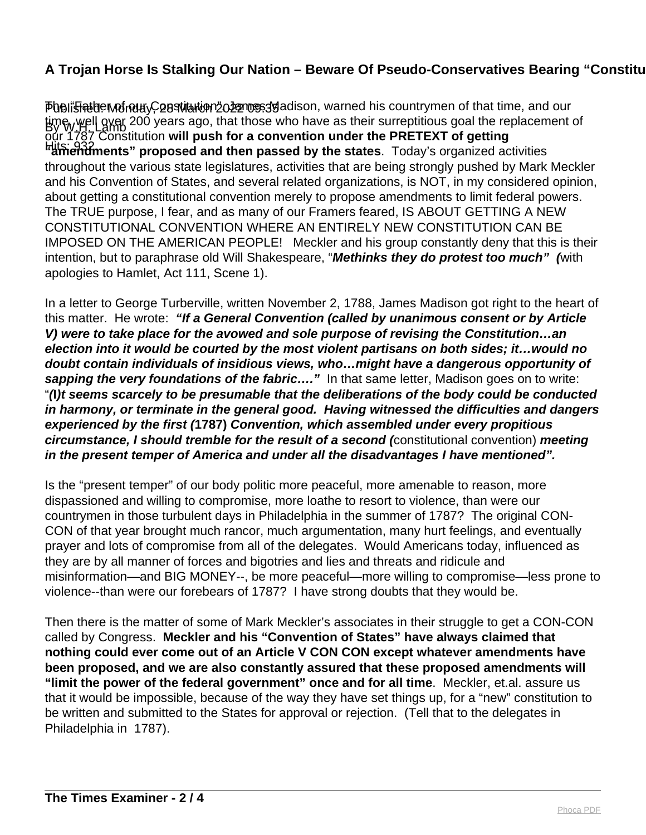## **A Trojan Horse Is Stalking Our Nation – Beware Of Pseudo-Conservatives Bearing "Constitutional" Analyzies**

Pheli<del>siau</del>de MondayC28 Martem 2022 nos 19 adison, warned his countrymen of that time, and our time, well over 200 years ago, that those who have as their surreptitious goal the replacement of Hits: 932 **"amendments" proposed and then passed by the states**. Today's organized activities our 1787 Constitution **will push for a convention under the PRETEXT of getting** throughout the various state legislatures, activities that are being strongly pushed by Mark Meckler and his Convention of States, and several related organizations, is NOT, in my considered opinion, about getting a constitutional convention merely to propose amendments to limit federal powers. The TRUE purpose, I fear, and as many of our Framers feared, IS ABOUT GETTING A NEW CONSTITUTIONAL CONVENTION WHERE AN ENTIRELY NEW CONSTITUTION CAN BE IMPOSED ON THE AMERICAN PEOPLE! Meckler and his group constantly deny that this is their intention, but to paraphrase old Will Shakespeare, "**Methinks they do protest too much" (**with apologies to Hamlet, Act 111, Scene 1).

In a letter to George Turberville, written November 2, 1788, James Madison got right to the heart of this matter. He wrote: **"If a General Convention (called by unanimous consent or by Article V) were to take place for the avowed and sole purpose of revising the Constitution…an election into it would be courted by the most violent partisans on both sides; it…would no doubt contain individuals of insidious views, who…might have a dangerous opportunity of** sapping the very foundations of the fabric...." In that same letter, Madison goes on to write: "**(I)t seems scarcely to be presumable that the deliberations of the body could be conducted in harmony, or terminate in the general good. Having witnessed the difficulties and dangers experienced by the first (1787) Convention, which assembled under every propitious circumstance, I should tremble for the result of a second (**constitutional convention) **meeting in the present temper of America and under all the disadvantages I have mentioned".** 

Is the "present temper" of our body politic more peaceful, more amenable to reason, more dispassioned and willing to compromise, more loathe to resort to violence, than were our countrymen in those turbulent days in Philadelphia in the summer of 1787? The original CON-CON of that year brought much rancor, much argumentation, many hurt feelings, and eventually prayer and lots of compromise from all of the delegates. Would Americans today, influenced as they are by all manner of forces and bigotries and lies and threats and ridicule and misinformation—and BIG MONEY--, be more peaceful—more willing to compromise—less prone to violence--than were our forebears of 1787? I have strong doubts that they would be.

Then there is the matter of some of Mark Meckler's associates in their struggle to get a CON-CON called by Congress. **Meckler and his "Convention of States" have always claimed that nothing could ever come out of an Article V CON CON except whatever amendments have been proposed, and we are also constantly assured that these proposed amendments will "limit the power of the federal government" once and for all time**. Meckler, et.al. assure us that it would be impossible, because of the way they have set things up, for a "new" constitution to be written and submitted to the States for approval or rejection. (Tell that to the delegates in Philadelphia in 1787).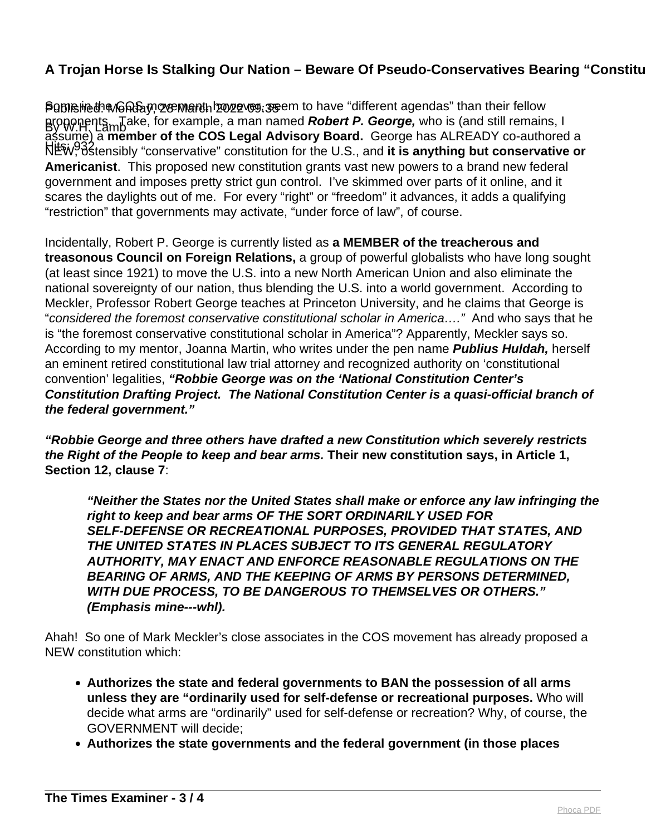## **A Trojan Horse Is Stalking Our Nation – Beware Of Pseudo-Conservatives Bearing "Constitutional" Analyzies**

Published: ብሎ Monday, 28 March 2022 1998: \$6 March to have "different agendas" than their fellow By W.H. Lamb proponents. Take, for example, a man named **Robert P. George,** who is (and still remains, I Hits: 932 NEW, ostensibly "conservative" constitution for the U.S., and **it is anything but conservative or** assume) a **member of the COS Legal Advisory Board.** George has ALREADY co-authored a **Americanist**. This proposed new constitution grants vast new powers to a brand new federal government and imposes pretty strict gun control. I've skimmed over parts of it online, and it scares the daylights out of me. For every "right" or "freedom" it advances, it adds a qualifying "restriction" that governments may activate, "under force of law", of course.

Incidentally, Robert P. George is currently listed as **a MEMBER of the treacherous and treasonous Council on Foreign Relations,** a group of powerful globalists who have long sought (at least since 1921) to move the U.S. into a new North American Union and also eliminate the national sovereignty of our nation, thus blending the U.S. into a world government. According to Meckler, Professor Robert George teaches at Princeton University, and he claims that George is "considered the foremost conservative constitutional scholar in America…." And who says that he is "the foremost conservative constitutional scholar in America"? Apparently, Meckler says so. According to my mentor, Joanna Martin, who writes under the pen name **Publius Huldah,** herself an eminent retired constitutional law trial attorney and recognized authority on 'constitutional convention' legalities, **"Robbie George was on the 'National Constitution Center's Constitution Drafting Project. The National Constitution Center is a quasi-official branch of the federal government."**

**"Robbie George and three others have drafted a new Constitution which severely restricts the Right of the People to keep and bear arms. Their new constitution says, in Article 1, Section 12, clause 7**:

**"Neither the States nor the United States shall make or enforce any law infringing the right to keep and bear arms OF THE SORT ORDINARILY USED FOR SELF-DEFENSE OR RECREATIONAL PURPOSES, PROVIDED THAT STATES, AND THE UNITED STATES IN PLACES SUBJECT TO ITS GENERAL REGULATORY AUTHORITY, MAY ENACT AND ENFORCE REASONABLE REGULATIONS ON THE BEARING OF ARMS, AND THE KEEPING OF ARMS BY PERSONS DETERMINED, WITH DUE PROCESS, TO BE DANGEROUS TO THEMSELVES OR OTHERS." (Emphasis mine---whl).**

Ahah! So one of Mark Meckler's close associates in the COS movement has already proposed a NEW constitution which:

- **Authorizes the state and federal governments to BAN the possession of all arms unless they are "ordinarily used for self-defense or recreational purposes.** Who will decide what arms are "ordinarily" used for self-defense or recreation? Why, of course, the GOVERNMENT will decide;
- **Authorizes the state governments and the federal government (in those places**